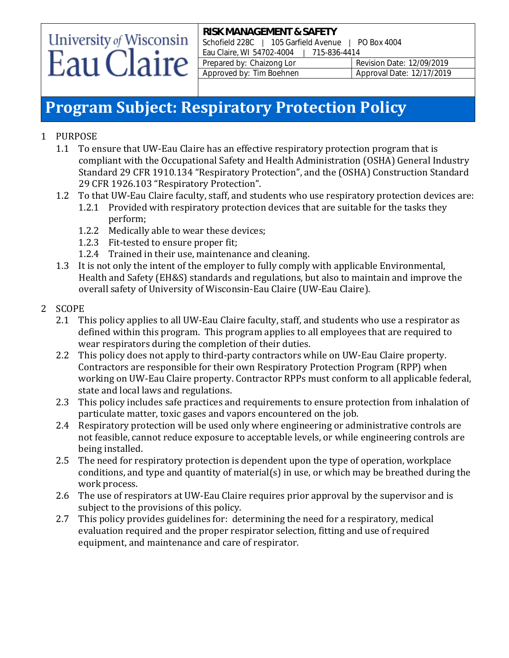# University of Wisconsin Eau Claire

**RISK MANAGEMENT & SAFETY** Schofield 228C | 105 Garfield Avenue | PO Box 4004 Eau Claire, WI 54702-4004 | 715-836-4414 Prepared by: Chaizong Lor Revision Date: 12/09/2019 Approved by: Tim Boehnen Approval Date: 12/17/2019

### **Program Subject: Respiratory Protection Policy**

- 1 PURPOSE
	- 1.1 To ensure that UW-Eau Claire has an effective respiratory protection program that is compliant with the Occupational Safety and Health Administration (OSHA) General Industry Standard 29 CFR 1910.134 "Respiratory Protection", and the (OSHA) Construction Standard 29 CFR 1926.103 "Respiratory Protection".
	- 1.2 To that UW-Eau Claire faculty, staff, and students who use respiratory protection devices are:
		- 1.2.1 Provided with respiratory protection devices that are suitable for the tasks they perform;
		- 1.2.2 Medically able to wear these devices;
		- 1.2.3 Fit-tested to ensure proper fit;
		- 1.2.4 Trained in their use, maintenance and cleaning.
	- 1.3 It is not only the intent of the employer to fully comply with applicable Environmental, Health and Safety (EH&S) standards and regulations, but also to maintain and improve the overall safety of University of Wisconsin-Eau Claire (UW-Eau Claire).
- 2 SCOPE
	- 2.1 This policy applies to all UW-Eau Claire faculty, staff, and students who use a respirator as defined within this program. This program applies to all employees that are required to wear respirators during the completion of their duties.
	- 2.2 This policy does not apply to third-party contractors while on UW-Eau Claire property. Contractors are responsible for their own Respiratory Protection Program (RPP) when working on UW-Eau Claire property. Contractor RPPs must conform to all applicable federal, state and local laws and regulations.
	- 2.3 This policy includes safe practices and requirements to ensure protection from inhalation of particulate matter, toxic gases and vapors encountered on the job.
	- 2.4 Respiratory protection will be used only where engineering or administrative controls are not feasible, cannot reduce exposure to acceptable levels, or while engineering controls are being installed.
	- 2.5 The need for respiratory protection is dependent upon the type of operation, workplace conditions, and type and quantity of material(s) in use, or which may be breathed during the work process.
	- 2.6 The use of respirators at UW-Eau Claire requires prior approval by the supervisor and is subject to the provisions of this policy.
	- 2.7 This policy provides guidelines for: determining the need for a respiratory, medical evaluation required and the proper respirator selection, fitting and use of required equipment, and maintenance and care of respirator.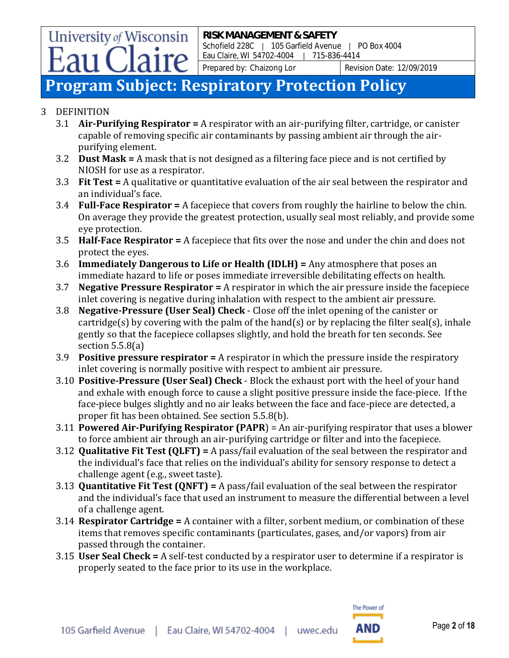### **Program Subject: Respiratory Protection Policy**

#### 3 DEFINITION

- 3.1 **Air-Purifying Respirator =** A respirator with an air-purifying filter, cartridge, or canister capable of removing specific air contaminants by passing ambient air through the airpurifying element.
- 3.2 **Dust Mask =** A mask that is not designed as a filtering face piece and is not certified by NIOSH for use as a respirator.
- 3.3 **Fit Test =** A qualitative or quantitative evaluation of the air seal between the respirator and an individual's face.
- 3.4 **Full-Face Respirator =** A facepiece that covers from roughly the hairline to below the chin. On average they provide the greatest protection, usually seal most reliably, and provide some eye protection.
- 3.5 **Half-Face Respirator =** A facepiece that fits over the nose and under the chin and does not protect the eyes.
- 3.6 **Immediately Dangerous to Life or Health (IDLH) =** Any atmosphere that poses an immediate hazard to life or poses immediate irreversible debilitating effects on health.
- 3.7 **Negative Pressure Respirator =** A respirator in which the air pressure inside the facepiece inlet covering is negative during inhalation with respect to the ambient air pressure.
- 3.8 **Negative-Pressure (User Seal) Check** Close off the inlet opening of the canister or cartridge(s) by covering with the palm of the hand(s) or by replacing the filter seal(s), inhale gently so that the facepiece collapses slightly, and hold the breath for ten seconds. See section 5.5.8(a)
- 3.9 **Positive pressure respirator =** A respirator in which the pressure inside the respiratory inlet covering is normally positive with respect to ambient air pressure.
- 3.10 **Positive-Pressure (User Seal) Check** Block the exhaust port with the heel of your hand and exhale with enough force to cause a slight positive pressure inside the face-piece. If the face-piece bulges slightly and no air leaks between the face and face-piece are detected, a proper fit has been obtained. See section 5.5.8(b).
- 3.11 **Powered Air-Purifying Respirator (PAPR**) = An air-purifying respirator that uses a blower to force ambient air through an air-purifying cartridge or filter and into the facepiece.
- 3.12 **Qualitative Fit Test (QLFT) =** A pass/fail evaluation of the seal between the respirator and the individual's face that relies on the individual's ability for sensory response to detect a challenge agent (e.g., sweet taste).
- 3.13 **Quantitative Fit Test (QNFT) =** A pass/fail evaluation of the seal between the respirator and the individual's face that used an instrument to measure the differential between a level of a challenge agent.
- 3.14 **Respirator Cartridge =** A container with a filter, sorbent medium, or combination of these items that removes specific contaminants (particulates, gases, and/or vapors) from air passed through the container.
- 3.15 **User Seal Check =** A self-test conducted by a respirator user to determine if a respirator is properly seated to the face prior to its use in the workplace.

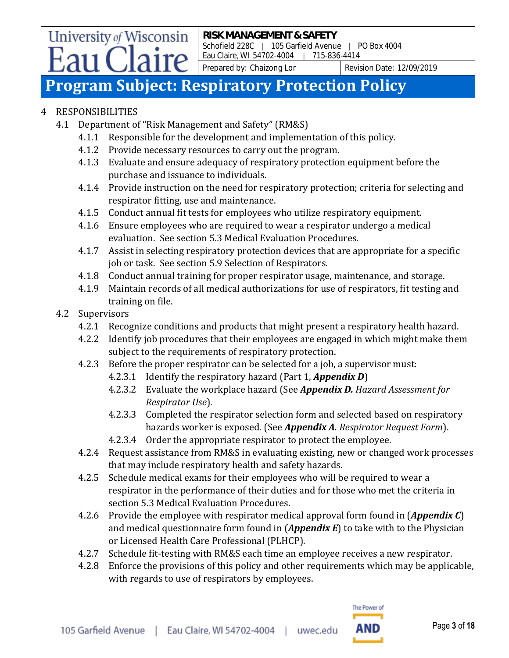### **Program Subject: Respiratory Protection Policy**

### 4 RESPONSIBILITIES

- 4.1 Department of "Risk Management and Safety" (RM&S)
	- 4.1.1 Responsible for the development and implementation of this policy.
	- 4.1.2 Provide necessary resources to carry out the program.
	- 4.1.3 Evaluate and ensure adequacy of respiratory protection equipment before the purchase and issuance to individuals.
	- 4.1.4 Provide instruction on the need for respiratory protection; criteria for selecting and respirator fitting, use and maintenance.
	- 4.1.5 Conduct annual fit tests for employees who utilize respiratory equipment.
	- 4.1.6 Ensure employees who are required to wear a respirator undergo a medical evaluation. See section 5.3 Medical Evaluation Procedures.
	- 4.1.7 Assist in selecting respiratory protection devices that are appropriate for a specific job or task. See section 5.9 Selection of Respirators.
	- 4.1.8 Conduct annual training for proper respirator usage, maintenance, and storage.
	- 4.1.9 Maintain records of all medical authorizations for use of respirators, fit testing and training on file.

#### 4.2 Supervisors

- 4.2.1 Recognize conditions and products that might present a respiratory health hazard.
- 4.2.2 Identify job procedures that their employees are engaged in which might make them subject to the requirements of respiratory protection.
- 4.2.3 Before the proper respirator can be selected for a job, a supervisor must:
	- 4.2.3.1 Identify the respiratory hazard (Part 1, *Appendix D*)
	- 4.2.3.2 Evaluate the workplace hazard (See *Appendix D. Hazard Assessment for Respirator Use*).
	- 4.2.3.3 Completed the respirator selection form and selected based on respiratory hazards worker is exposed. (See *Appendix A. Respirator Request Form*).
	- 4.2.3.4 Order the appropriate respirator to protect the employee.
- 4.2.4 Request assistance from RM&S in evaluating existing, new or changed work processes that may include respiratory health and safety hazards.
- 4.2.5 Schedule medical exams for their employees who will be required to wear a respirator in the performance of their duties and for those who met the criteria in section 5.3 Medical Evaluation Procedures.
- 4.2.6 Provide the employee with respirator medical approval form found in (*Appendix C*) and medical questionnaire form found in (*Appendix E*) to take with to the Physician or Licensed Health Care Professional (PLHCP).
- 4.2.7 Schedule fit-testing with RM&S each time an employee receives a new respirator.
- 4.2.8 Enforce the provisions of this policy and other requirements which may be applicable, with regards to use of respirators by employees.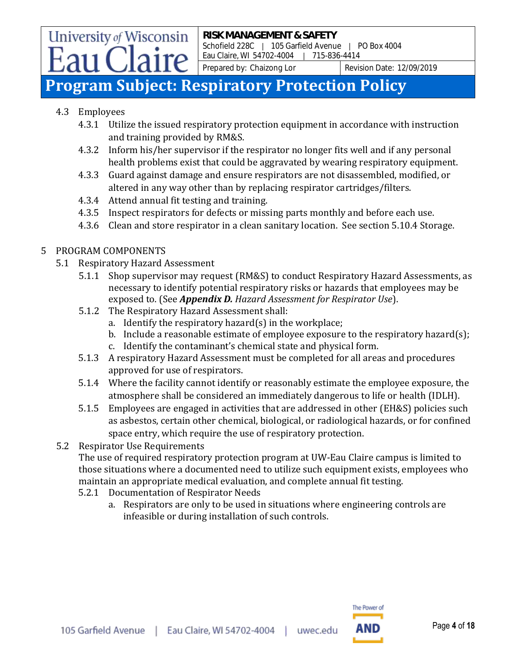#### **RISK MANAGEMENT & SAFETY** Schofield 228C | 105 Garfield Avenue | PO Box 4004 Eau Claire, WI 54702-4004 | 715-836-4414

Prepared by: Chaizong Lor Revision Date: 12/09/2019

### **Program Subject: Respiratory Protection Policy**

4.3 Employees

**University of Wisconsin** 

- 4.3.1 Utilize the issued respiratory protection equipment in accordance with instruction and training provided by RM&S.
- 4.3.2 Inform his/her supervisor if the respirator no longer fits well and if any personal health problems exist that could be aggravated by wearing respiratory equipment.
- 4.3.3 Guard against damage and ensure respirators are not disassembled, modified, or altered in any way other than by replacing respirator cartridges/filters.
- 4.3.4 Attend annual fit testing and training.
- 4.3.5 Inspect respirators for defects or missing parts monthly and before each use.
- 4.3.6 Clean and store respirator in a clean sanitary location. See section 5.10.4 Storage.

#### 5 PROGRAM COMPONENTS

- 5.1 Respiratory Hazard Assessment
	- 5.1.1 Shop supervisor may request (RM&S) to conduct Respiratory Hazard Assessments, as necessary to identify potential respiratory risks or hazards that employees may be exposed to. (See *Appendix D. Hazard Assessment for Respirator Use*).
	- 5.1.2 The Respiratory Hazard Assessment shall:
		- a. Identify the respiratory hazard(s) in the workplace;
		- b. Include a reasonable estimate of employee exposure to the respiratory hazard(s);
		- c. Identify the contaminant's chemical state and physical form.
	- 5.1.3 A respiratory Hazard Assessment must be completed for all areas and procedures approved for use of respirators.
	- 5.1.4 Where the facility cannot identify or reasonably estimate the employee exposure, the atmosphere shall be considered an immediately dangerous to life or health (IDLH).
	- 5.1.5 Employees are engaged in activities that are addressed in other (EH&S) policies such as asbestos, certain other chemical, biological, or radiological hazards, or for confined space entry, which require the use of respiratory protection.
- 5.2 Respirator Use Requirements

The use of required respiratory protection program at UW-Eau Claire campus is limited to those situations where a documented need to utilize such equipment exists, employees who maintain an appropriate medical evaluation, and complete annual fit testing.

- 5.2.1 Documentation of Respirator Needs
	- a. Respirators are only to be used in situations where engineering controls are infeasible or during installation of such controls.

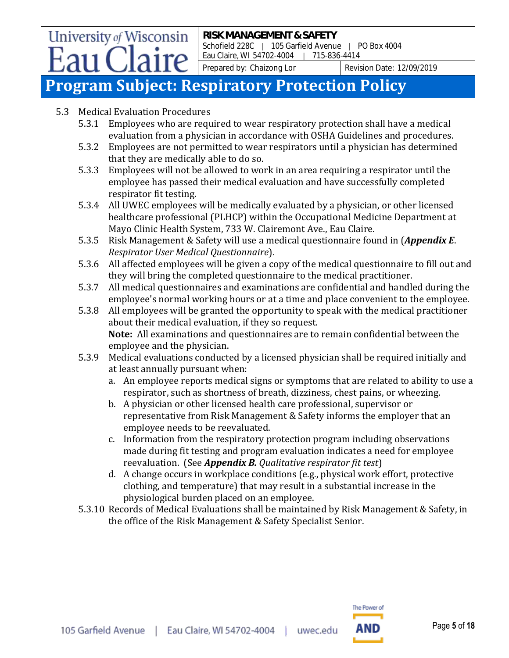Schofield 228C | 105 Garfield Avenue | PO Box 4004 Eau Claire, WI 54702-4004 | 715-836-4414

Prepared by: Chaizong Lor Revision Date: 12/09/2019

### **Program Subject: Respiratory Protection Policy**

5.3 Medical Evaluation Procedures

- 5.3.1 Employees who are required to wear respiratory protection shall have a medical evaluation from a physician in accordance with OSHA Guidelines and procedures.
- 5.3.2 Employees are not permitted to wear respirators until a physician has determined that they are medically able to do so.
- 5.3.3 Employees will not be allowed to work in an area requiring a respirator until the employee has passed their medical evaluation and have successfully completed respirator fit testing.
- 5.3.4 All UWEC employees will be medically evaluated by a physician, or other licensed healthcare professional (PLHCP) within the Occupational Medicine Department at Mayo Clinic Health System, 733 W. Clairemont Ave., Eau Claire.
- 5.3.5 Risk Management & Safety will use a medical questionnaire found in (*Appendix E*. *Respirator User Medical Questionnaire*).
- 5.3.6 All affected employees will be given a copy of the medical questionnaire to fill out and they will bring the completed questionnaire to the medical practitioner.
- 5.3.7 All medical questionnaires and examinations are confidential and handled during the employee's normal working hours or at a time and place convenient to the employee.
- 5.3.8 All employees will be granted the opportunity to speak with the medical practitioner about their medical evaluation, if they so request. **Note:** All examinations and questionnaires are to remain confidential between the employee and the physician.
- 5.3.9 Medical evaluations conducted by a licensed physician shall be required initially and at least annually pursuant when:
	- a. An employee reports medical signs or symptoms that are related to ability to use a respirator, such as shortness of breath, dizziness, chest pains, or wheezing.
	- b. A physician or other licensed health care professional, supervisor or representative from Risk Management & Safety informs the employer that an employee needs to be reevaluated.
	- c. Information from the respiratory protection program including observations made during fit testing and program evaluation indicates a need for employee reevaluation. (See *Appendix B. Qualitative respirator fit test*)
	- d. A change occurs in workplace conditions (e.g., physical work effort, protective clothing, and temperature) that may result in a substantial increase in the physiological burden placed on an employee.
- 5.3.10 Records of Medical Evaluations shall be maintained by Risk Management & Safety, in the office of the Risk Management & Safety Specialist Senior.

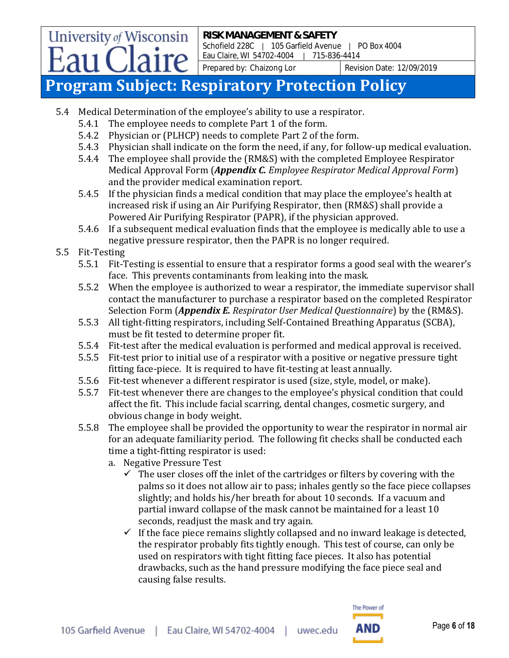**RISK MANAGEMENT & SAFETY** Schofield 228C | 105 Garfield Avenue | PO Box 4004 Eau Claire, WI 54702-4004 | 715-836-4414

Prepared by: Chaizong Lor Revision Date: 12/09/2019

### **Program Subject: Respiratory Protection Policy**

- 5.4 Medical Determination of the employee's ability to use a respirator.
	- 5.4.1 The employee needs to complete Part 1 of the form.
	- 5.4.2 Physician or (PLHCP) needs to complete Part 2 of the form.
	- 5.4.3 Physician shall indicate on the form the need, if any, for follow-up medical evaluation.
	- 5.4.4 The employee shall provide the (RM&S) with the completed Employee Respirator Medical Approval Form (*Appendix C. Employee Respirator Medical Approval Form*) and the provider medical examination report.
	- 5.4.5 If the physician finds a medical condition that may place the employee's health at increased risk if using an Air Purifying Respirator, then (RM&S) shall provide a Powered Air Purifying Respirator (PAPR), if the physician approved.
	- 5.4.6 If a subsequent medical evaluation finds that the employee is medically able to use a negative pressure respirator, then the PAPR is no longer required.
- 5.5 Fit-Testing

**University of Wisconsin** 

- 5.5.1 Fit-Testing is essential to ensure that a respirator forms a good seal with the wearer's face. This prevents contaminants from leaking into the mask.
- 5.5.2 When the employee is authorized to wear a respirator, the immediate supervisor shall contact the manufacturer to purchase a respirator based on the completed Respirator Selection Form (*Appendix E. Respirator User Medical Questionnaire*) by the (RM&S).
- 5.5.3 All tight-fitting respirators, including Self-Contained Breathing Apparatus (SCBA), must be fit tested to determine proper fit.
- 5.5.4 Fit-test after the medical evaluation is performed and medical approval is received.
- 5.5.5 Fit-test prior to initial use of a respirator with a positive or negative pressure tight fitting face-piece. It is required to have fit-testing at least annually.
- 5.5.6 Fit-test whenever a different respirator is used (size, style, model, or make).
- 5.5.7 Fit-test whenever there are changes to the employee's physical condition that could affect the fit. This include facial scarring, dental changes, cosmetic surgery, and obvious change in body weight.
- 5.5.8 The employee shall be provided the opportunity to wear the respirator in normal air for an adequate familiarity period. The following fit checks shall be conducted each time a tight-fitting respirator is used:
	- a. Negative Pressure Test
		- $\checkmark$  The user closes off the inlet of the cartridges or filters by covering with the palms so it does not allow air to pass; inhales gently so the face piece collapses slightly; and holds his/her breath for about 10 seconds. If a vacuum and partial inward collapse of the mask cannot be maintained for a least 10 seconds, readjust the mask and try again.
		- $\checkmark$  If the face piece remains slightly collapsed and no inward leakage is detected, the respirator probably fits tightly enough. This test of course, can only be used on respirators with tight fitting face pieces. It also has potential drawbacks, such as the hand pressure modifying the face piece seal and causing false results.

The Power of

AND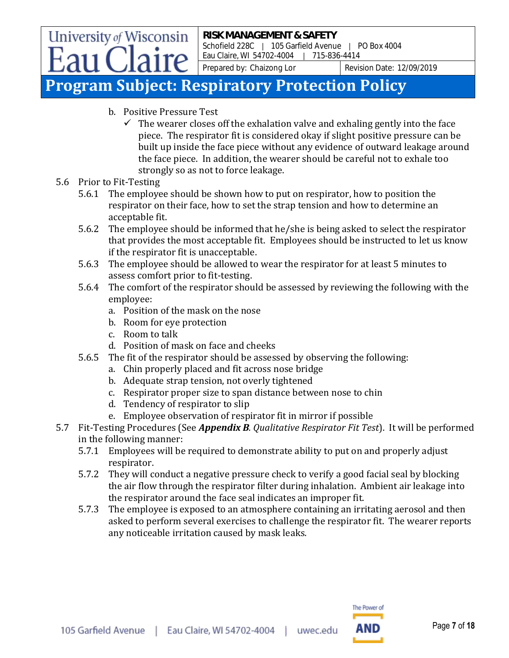### **Program Subject: Respiratory Protection Policy**

- b. Positive Pressure Test
	- $\checkmark$  The wearer closes off the exhalation valve and exhaling gently into the face piece. The respirator fit is considered okay if slight positive pressure can be built up inside the face piece without any evidence of outward leakage around the face piece. In addition, the wearer should be careful not to exhale too strongly so as not to force leakage.
- 5.6 Prior to Fit-Testing
	- 5.6.1 The employee should be shown how to put on respirator, how to position the respirator on their face, how to set the strap tension and how to determine an acceptable fit.
	- 5.6.2 The employee should be informed that he/she is being asked to select the respirator that provides the most acceptable fit. Employees should be instructed to let us know if the respirator fit is unacceptable.
	- 5.6.3 The employee should be allowed to wear the respirator for at least 5 minutes to assess comfort prior to fit-testing.
	- 5.6.4 The comfort of the respirator should be assessed by reviewing the following with the employee:
		- a. Position of the mask on the nose
		- b. Room for eye protection
		- c. Room to talk
		- d. Position of mask on face and cheeks
	- 5.6.5 The fit of the respirator should be assessed by observing the following:
		- a. Chin properly placed and fit across nose bridge
		- b. Adequate strap tension, not overly tightened
		- c. Respirator proper size to span distance between nose to chin
		- d. Tendency of respirator to slip
		- e. Employee observation of respirator fit in mirror if possible
- 5.7 Fit-Testing Procedures (See *Appendix B. Qualitative Respirator Fit Test*). It will be performed in the following manner:
	- 5.7.1 Employees will be required to demonstrate ability to put on and properly adjust respirator.
	- 5.7.2 They will conduct a negative pressure check to verify a good facial seal by blocking the air flow through the respirator filter during inhalation. Ambient air leakage into the respirator around the face seal indicates an improper fit.
	- 5.7.3 The employee is exposed to an atmosphere containing an irritating aerosol and then asked to perform several exercises to challenge the respirator fit. The wearer reports any noticeable irritation caused by mask leaks.

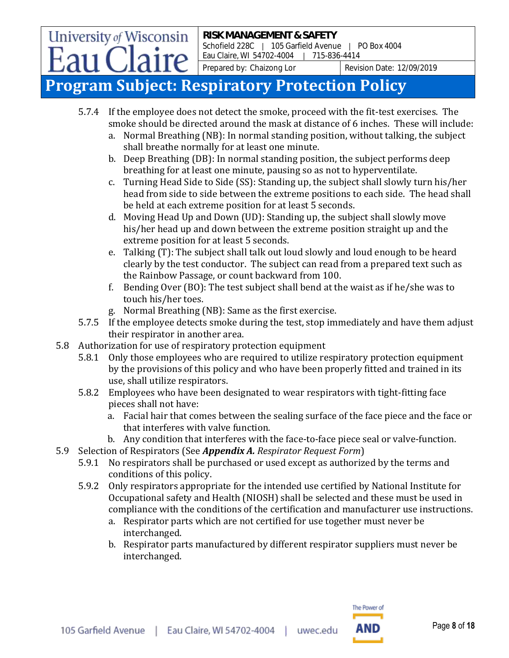Schofield 228C | 105 Garfield Avenue | PO Box 4004 Eau Claire, WI 54702-4004 | 715-836-4414

Prepared by: Chaizong Lor Revision Date: 12/09/2019

### **Program Subject: Respiratory Protection Policy**

- 5.7.4 If the employee does not detect the smoke, proceed with the fit-test exercises. The smoke should be directed around the mask at distance of 6 inches. These will include:
	- a. Normal Breathing (NB): In normal standing position, without talking, the subject shall breathe normally for at least one minute.
	- b. Deep Breathing (DB): In normal standing position, the subject performs deep breathing for at least one minute, pausing so as not to hyperventilate.
	- c. Turning Head Side to Side (SS): Standing up, the subject shall slowly turn his/her head from side to side between the extreme positions to each side. The head shall be held at each extreme position for at least 5 seconds.
	- d. Moving Head Up and Down (UD): Standing up, the subject shall slowly move his/her head up and down between the extreme position straight up and the extreme position for at least 5 seconds.
	- e. Talking (T): The subject shall talk out loud slowly and loud enough to be heard clearly by the test conductor. The subject can read from a prepared text such as the Rainbow Passage, or count backward from 100.
	- f. Bending Over (BO): The test subject shall bend at the waist as if he/she was to touch his/her toes.
	- g. Normal Breathing (NB): Same as the first exercise.
- 5.7.5 If the employee detects smoke during the test, stop immediately and have them adjust their respirator in another area.
- 5.8 Authorization for use of respiratory protection equipment
	- 5.8.1 Only those employees who are required to utilize respiratory protection equipment by the provisions of this policy and who have been properly fitted and trained in its use, shall utilize respirators.
	- 5.8.2 Employees who have been designated to wear respirators with tight-fitting face pieces shall not have:
		- a. Facial hair that comes between the sealing surface of the face piece and the face or that interferes with valve function.
		- b. Any condition that interferes with the face-to-face piece seal or valve-function.
- 5.9 Selection of Respirators (See *Appendix A. Respirator Request Form*)
	- 5.9.1 No respirators shall be purchased or used except as authorized by the terms and conditions of this policy.
	- 5.9.2 Only respirators appropriate for the intended use certified by National Institute for Occupational safety and Health (NIOSH) shall be selected and these must be used in compliance with the conditions of the certification and manufacturer use instructions.
		- a. Respirator parts which are not certified for use together must never be interchanged.
		- b. Respirator parts manufactured by different respirator suppliers must never be interchanged.

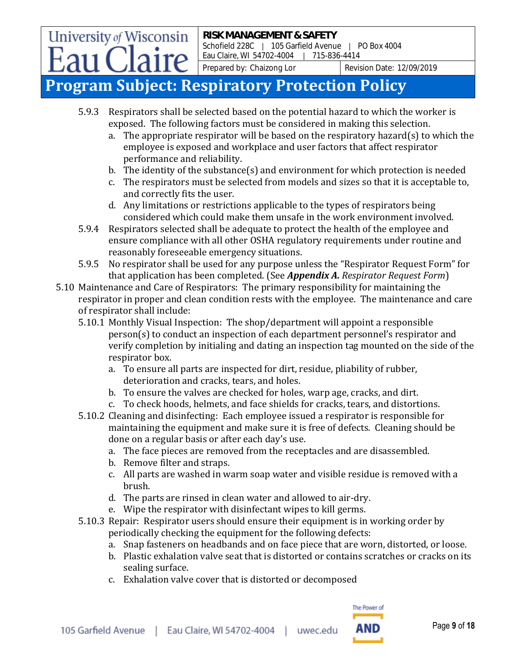Schofield 228C | 105 Garfield Avenue | PO Box 4004 Eau Claire, WI 54702-4004 | 715-836-4414

Prepared by: Chaizong Lor Revision Date: 12/09/2019

### **Program Subject: Respiratory Protection Policy**

- 5.9.3 Respirators shall be selected based on the potential hazard to which the worker is exposed. The following factors must be considered in making this selection.
	- a. The appropriate respirator will be based on the respiratory hazard(s) to which the employee is exposed and workplace and user factors that affect respirator performance and reliability.
	- b. The identity of the substance(s) and environment for which protection is needed
	- c. The respirators must be selected from models and sizes so that it is acceptable to, and correctly fits the user.
	- d. Any limitations or restrictions applicable to the types of respirators being considered which could make them unsafe in the work environment involved.
- 5.9.4 Respirators selected shall be adequate to protect the health of the employee and ensure compliance with all other OSHA regulatory requirements under routine and reasonably foreseeable emergency situations.
- 5.9.5 No respirator shall be used for any purpose unless the "Respirator Request Form" for that application has been completed. (See *Appendix A. Respirator Request Form*)
- 5.10 Maintenance and Care of Respirators: The primary responsibility for maintaining the respirator in proper and clean condition rests with the employee. The maintenance and care of respirator shall include:
	- 5.10.1 Monthly Visual Inspection: The shop/department will appoint a responsible person(s) to conduct an inspection of each department personnel's respirator and verify completion by initialing and dating an inspection tag mounted on the side of the respirator box.
		- a. To ensure all parts are inspected for dirt, residue, pliability of rubber, deterioration and cracks, tears, and holes.
		- b. To ensure the valves are checked for holes, warp age, cracks, and dirt.
		- c. To check hoods, helmets, and face shields for cracks, tears, and distortions.
	- 5.10.2 Cleaning and disinfecting: Each employee issued a respirator is responsible for maintaining the equipment and make sure it is free of defects. Cleaning should be done on a regular basis or after each day's use.
		- a. The face pieces are removed from the receptacles and are disassembled.
		- b. Remove filter and straps.
		- c. All parts are washed in warm soap water and visible residue is removed with a brush.
		- d. The parts are rinsed in clean water and allowed to air-dry.
		- e. Wipe the respirator with disinfectant wipes to kill germs.
	- 5.10.3 Repair: Respirator users should ensure their equipment is in working order by periodically checking the equipment for the following defects:
		- a. Snap fasteners on headbands and on face piece that are worn, distorted, or loose.
		- b. Plastic exhalation valve seat that is distorted or contains scratches or cracks on its sealing surface.
		- c. Exhalation valve cover that is distorted or decomposed

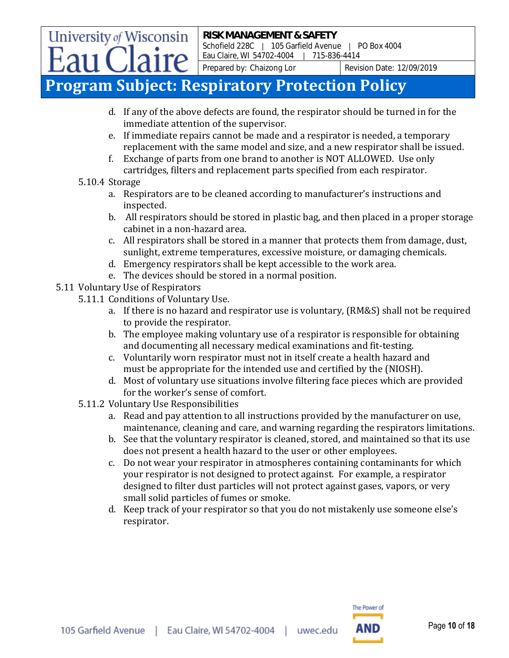Schofield 228C | 105 Garfield Avenue | PO Box 4004 Eau Claire, WI 54702-4004 | 715-836-4414

Prepared by: Chaizong Lor Revision Date: 12/09/2019

### **Program Subject: Respiratory Protection Policy**

- d. If any of the above defects are found, the respirator should be turned in for the immediate attention of the supervisor.
- e. If immediate repairs cannot be made and a respirator is needed, a temporary replacement with the same model and size, and a new respirator shall be issued.
- f. Exchange of parts from one brand to another is NOT ALLOWED. Use only cartridges, filters and replacement parts specified from each respirator.

#### 5.10.4 Storage

- a. Respirators are to be cleaned according to manufacturer's instructions and inspected.
- b. All respirators should be stored in plastic bag, and then placed in a proper storage cabinet in a non-hazard area.
- c. All respirators shall be stored in a manner that protects them from damage, dust, sunlight, extreme temperatures, excessive moisture, or damaging chemicals.
- d. Emergency respirators shall be kept accessible to the work area.
- e. The devices should be stored in a normal position.
- 5.11 Voluntary Use of Respirators
	- 5.11.1 Conditions of Voluntary Use.
		- a. If there is no hazard and respirator use is voluntary, (RM&S) shall not be required to provide the respirator.
		- b. The employee making voluntary use of a respirator is responsible for obtaining and documenting all necessary medical examinations and fit-testing.
		- c. Voluntarily worn respirator must not in itself create a health hazard and must be appropriate for the intended use and certified by the (NIOSH).
		- d. Most of voluntary use situations involve filtering face pieces which are provided for the worker's sense of comfort.
	- 5.11.2 Voluntary Use Responsibilities
		- a. Read and pay attention to all instructions provided by the manufacturer on use, maintenance, cleaning and care, and warning regarding the respirators limitations.
		- b. See that the voluntary respirator is cleaned, stored, and maintained so that its use does not present a health hazard to the user or other employees.
		- c. Do not wear your respirator in atmospheres containing contaminants for which your respirator is not designed to protect against. For example, a respirator designed to filter dust particles will not protect against gases, vapors, or very small solid particles of fumes or smoke.
		- d. Keep track of your respirator so that you do not mistakenly use someone else's respirator.

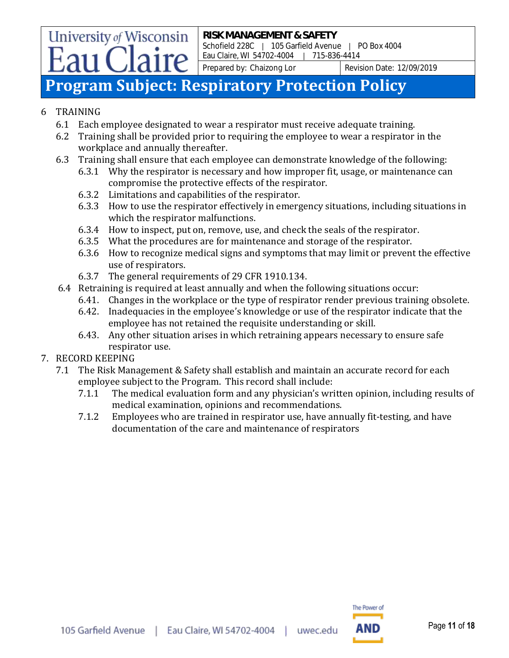### **Program Subject: Respiratory Protection Policy**

#### 6 TRAINING

- 6.1 Each employee designated to wear a respirator must receive adequate training.
- 6.2 Training shall be provided prior to requiring the employee to wear a respirator in the workplace and annually thereafter.
- 6.3 Training shall ensure that each employee can demonstrate knowledge of the following:
	- 6.3.1 Why the respirator is necessary and how improper fit, usage, or maintenance can compromise the protective effects of the respirator.
	- 6.3.2 Limitations and capabilities of the respirator.
	- 6.3.3 How to use the respirator effectively in emergency situations, including situations in which the respirator malfunctions.
	- 6.3.4 How to inspect, put on, remove, use, and check the seals of the respirator.
	- 6.3.5 What the procedures are for maintenance and storage of the respirator.
	- 6.3.6 How to recognize medical signs and symptoms that may limit or prevent the effective use of respirators.
	- 6.3.7 The general requirements of 29 CFR 1910.134.
- 6.4 Retraining is required at least annually and when the following situations occur:
	- 6.41. Changes in the workplace or the type of respirator render previous training obsolete.
	- 6.42. Inadequacies in the employee's knowledge or use of the respirator indicate that the employee has not retained the requisite understanding or skill.
	- 6.43. Any other situation arises in which retraining appears necessary to ensure safe respirator use.
- 7. RECORD KEEPING
	- 7.1 The Risk Management & Safety shall establish and maintain an accurate record for each employee subject to the Program. This record shall include:
		- 7.1.1 The medical evaluation form and any physician's written opinion, including results of medical examination, opinions and recommendations.
		- 7.1.2 Employees who are trained in respirator use, have annually fit-testing, and have documentation of the care and maintenance of respirators

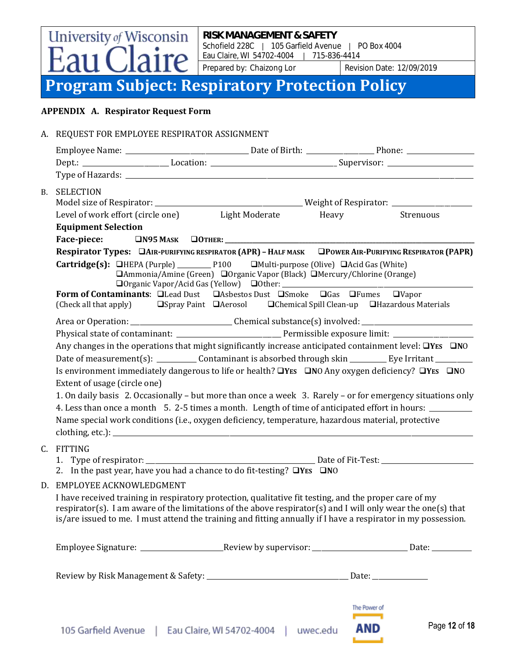University of Wisconsin **RISK MANAGEMENT & SAFETY** Schofield 228C | 105 Garfield Avenue | PO Box 4004 aire Eau Claire, WI 54702-4004 | 715-836-4414

Prepared by: Chaizong Lor Revision Date: 12/09/2019

### **Program Subject: Respiratory Protection Policy**

#### **APPENDIX A. Respirator Request Form**

|           | A. REQUEST FOR EMPLOYEE RESPIRATOR ASSIGNMENT                                                                                                                                                                                                                                                                                                                                                                                                                                                                                                                                                                                                                                                  |                                                  |                                                                                                                                                                                                                                                                                                                                                       |              |                                                                                                                                                                                                                               |  |  |
|-----------|------------------------------------------------------------------------------------------------------------------------------------------------------------------------------------------------------------------------------------------------------------------------------------------------------------------------------------------------------------------------------------------------------------------------------------------------------------------------------------------------------------------------------------------------------------------------------------------------------------------------------------------------------------------------------------------------|--------------------------------------------------|-------------------------------------------------------------------------------------------------------------------------------------------------------------------------------------------------------------------------------------------------------------------------------------------------------------------------------------------------------|--------------|-------------------------------------------------------------------------------------------------------------------------------------------------------------------------------------------------------------------------------|--|--|
|           |                                                                                                                                                                                                                                                                                                                                                                                                                                                                                                                                                                                                                                                                                                |                                                  |                                                                                                                                                                                                                                                                                                                                                       |              |                                                                                                                                                                                                                               |  |  |
|           |                                                                                                                                                                                                                                                                                                                                                                                                                                                                                                                                                                                                                                                                                                |                                                  |                                                                                                                                                                                                                                                                                                                                                       |              | Dept.: _____________________________Location: __________________________________Supervisor: ________________________                                                                                                          |  |  |
|           |                                                                                                                                                                                                                                                                                                                                                                                                                                                                                                                                                                                                                                                                                                |                                                  |                                                                                                                                                                                                                                                                                                                                                       |              |                                                                                                                                                                                                                               |  |  |
| <b>B.</b> | <b>SELECTION</b>                                                                                                                                                                                                                                                                                                                                                                                                                                                                                                                                                                                                                                                                               |                                                  |                                                                                                                                                                                                                                                                                                                                                       |              |                                                                                                                                                                                                                               |  |  |
|           |                                                                                                                                                                                                                                                                                                                                                                                                                                                                                                                                                                                                                                                                                                | Level of work effort (circle one) Light Moderate |                                                                                                                                                                                                                                                                                                                                                       | Heavy        | Strenuous                                                                                                                                                                                                                     |  |  |
|           | <b>Equipment Selection</b>                                                                                                                                                                                                                                                                                                                                                                                                                                                                                                                                                                                                                                                                     |                                                  |                                                                                                                                                                                                                                                                                                                                                       |              |                                                                                                                                                                                                                               |  |  |
|           |                                                                                                                                                                                                                                                                                                                                                                                                                                                                                                                                                                                                                                                                                                |                                                  |                                                                                                                                                                                                                                                                                                                                                       |              |                                                                                                                                                                                                                               |  |  |
|           | (Check all that apply)                                                                                                                                                                                                                                                                                                                                                                                                                                                                                                                                                                                                                                                                         |                                                  | <b>Cartridge(s):</b> $\Box$ HEPA (Purple) _____________P100 $\Box$ Multi-purpose (Olive) $\Box$ Acid Gas (White)<br>□ Ammonia/Amine (Green) □ Organic Vapor (Black) □ Mercury/Chlorine (Orange)<br>Form of Contaminants: Elead Dust Exercise Dust ESmoke EGas EFumes EVapor<br>□Spray Paint □ Aerosol □ Chemical Spill Clean-up □ Hazardous Materials |              | Respirator Types: DAIR-PURIFYING RESPIRATOR (APR) - HALF MASK DPOWER AIR-PURIFYING RESPIRATOR (PAPR)                                                                                                                          |  |  |
|           |                                                                                                                                                                                                                                                                                                                                                                                                                                                                                                                                                                                                                                                                                                |                                                  |                                                                                                                                                                                                                                                                                                                                                       |              |                                                                                                                                                                                                                               |  |  |
|           | Area or Operation: _________________________________Chemical substance(s) involved: __________________________                                                                                                                                                                                                                                                                                                                                                                                                                                                                                                                                                                                 |                                                  |                                                                                                                                                                                                                                                                                                                                                       |              |                                                                                                                                                                                                                               |  |  |
|           | Any changes in the operations that might significantly increase anticipated containment level: $\Box$ YES $\Box$ NO<br>Date of measurement(s): _____________ Contaminant is absorbed through skin ___________ Eye Irritant _________<br>Is environment immediately dangerous to life or health? OVES ONO Any oxygen deficiency? OVES ONO<br>Extent of usage (circle one)<br>1. On daily basis 2. Occasionally – but more than once a week 3. Rarely – or for emergency situations only<br>4. Less than once a month 5. 2-5 times a month. Length of time of anticipated effort in hours:<br>Name special work conditions (i.e., oxygen deficiency, temperature, hazardous material, protective |                                                  |                                                                                                                                                                                                                                                                                                                                                       |              |                                                                                                                                                                                                                               |  |  |
|           | C. FITTING                                                                                                                                                                                                                                                                                                                                                                                                                                                                                                                                                                                                                                                                                     |                                                  |                                                                                                                                                                                                                                                                                                                                                       |              |                                                                                                                                                                                                                               |  |  |
|           |                                                                                                                                                                                                                                                                                                                                                                                                                                                                                                                                                                                                                                                                                                |                                                  | 2. In the past year, have you had a chance to do fit-testing? $\Box$ YES $\Box$ NO                                                                                                                                                                                                                                                                    |              |                                                                                                                                                                                                                               |  |  |
|           | D. EMPLOYEE ACKNOWLEDGMENT                                                                                                                                                                                                                                                                                                                                                                                                                                                                                                                                                                                                                                                                     |                                                  |                                                                                                                                                                                                                                                                                                                                                       |              |                                                                                                                                                                                                                               |  |  |
|           |                                                                                                                                                                                                                                                                                                                                                                                                                                                                                                                                                                                                                                                                                                |                                                  | I have received training in respiratory protection, qualitative fit testing, and the proper care of my                                                                                                                                                                                                                                                |              | respirator(s). I am aware of the limitations of the above respirator(s) and I will only wear the one(s) that<br>is/are issued to me. I must attend the training and fitting annually if I have a respirator in my possession. |  |  |
|           |                                                                                                                                                                                                                                                                                                                                                                                                                                                                                                                                                                                                                                                                                                |                                                  |                                                                                                                                                                                                                                                                                                                                                       |              | Employee Signature: __________________________Review by supervisor: ___________________________Date: _________                                                                                                                |  |  |
|           |                                                                                                                                                                                                                                                                                                                                                                                                                                                                                                                                                                                                                                                                                                |                                                  |                                                                                                                                                                                                                                                                                                                                                       |              |                                                                                                                                                                                                                               |  |  |
|           |                                                                                                                                                                                                                                                                                                                                                                                                                                                                                                                                                                                                                                                                                                |                                                  |                                                                                                                                                                                                                                                                                                                                                       | The Power of |                                                                                                                                                                                                                               |  |  |

**AND**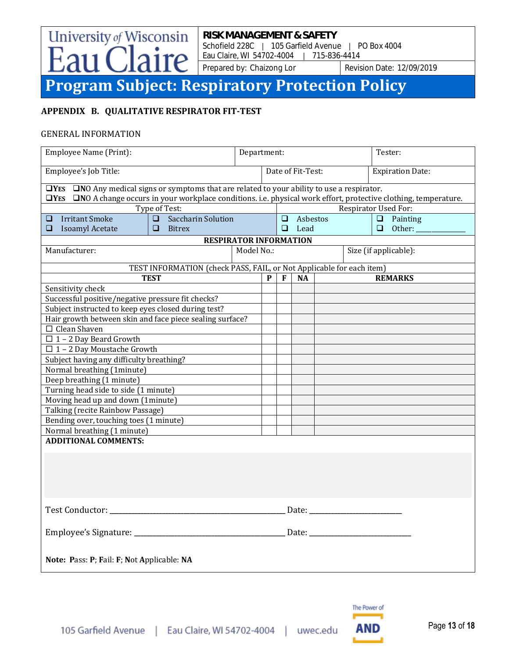Schofield 228C | 105 Garfield Avenue | PO Box 4004 Eau Claire, WI 54702-4004 | 715-836-4414

Prepared by: Chaizong Lor Revision Date: 12/09/2019

### **Program Subject: Respiratory Protection Policy**

#### **APPENDIX B. QUALITATIVE RESPIRATOR FIT-TEST**

aire

University of Wisconsin

#### GENERAL INFORMATION

 $\frac{1}{2}$ 311 (

| Employee Name (Print):                                                                                                                        |                                                                      |            |   | Department:       |           |  | Tester:                 |
|-----------------------------------------------------------------------------------------------------------------------------------------------|----------------------------------------------------------------------|------------|---|-------------------|-----------|--|-------------------------|
| Employee's Job Title:                                                                                                                         |                                                                      |            |   | Date of Fit-Test: |           |  | <b>Expiration Date:</b> |
| $\Box$ <b>YES</b> $\Box$ <b>NO</b> Any medical signs or symptoms that are related to your ability to use a respirator.                        |                                                                      |            |   |                   |           |  |                         |
| $\Box$ <b>YES</b> $\Box$ <b>NO</b> A change occurs in your workplace conditions. i.e. physical work effort, protective clothing, temperature. |                                                                      |            |   |                   |           |  |                         |
|                                                                                                                                               | Type of Test:                                                        |            |   |                   |           |  | Respirator Used For:    |
| $\Box$ Irritant Smoke                                                                                                                         | <b>Saccharin Solution</b><br>$\Box$                                  |            |   | $\Box$            | Asbestos  |  | $\Box$ Painting         |
| $\Box$ Isoamyl Acetate                                                                                                                        | $\Box$ Bitrex                                                        |            |   | $\Box$            | Lead      |  | $\Box$ Other:           |
|                                                                                                                                               | <b>RESPIRATOR INFORMATION</b>                                        |            |   |                   |           |  |                         |
| Manufacturer:                                                                                                                                 |                                                                      | Model No.: |   |                   |           |  | Size (if applicable):   |
|                                                                                                                                               | TEST INFORMATION (check PASS, FAIL, or Not Applicable for each item) |            |   |                   |           |  |                         |
|                                                                                                                                               | <b>TEST</b>                                                          |            | P | F                 | <b>NA</b> |  | <b>REMARKS</b>          |
| Sensitivity check                                                                                                                             |                                                                      |            |   |                   |           |  |                         |
| Successful positive/negative pressure fit checks?                                                                                             |                                                                      |            |   |                   |           |  |                         |
| Subject instructed to keep eyes closed during test?                                                                                           |                                                                      |            |   |                   |           |  |                         |
| Hair growth between skin and face piece sealing surface?                                                                                      |                                                                      |            |   |                   |           |  |                         |
| $\Box$ Clean Shaven                                                                                                                           |                                                                      |            |   |                   |           |  |                         |
| $\Box$ 1 - 2 Day Beard Growth                                                                                                                 |                                                                      |            |   |                   |           |  |                         |
| $\Box$ 1 - 2 Day Moustache Growth                                                                                                             |                                                                      |            |   |                   |           |  |                         |
| Subject having any difficulty breathing?                                                                                                      |                                                                      |            |   |                   |           |  |                         |
| Normal breathing (1minute)                                                                                                                    |                                                                      |            |   |                   |           |  |                         |
| Deep breathing (1 minute)                                                                                                                     |                                                                      |            |   |                   |           |  |                         |
| Turning head side to side (1 minute)                                                                                                          |                                                                      |            |   |                   |           |  |                         |
| Moving head up and down (1minute)                                                                                                             |                                                                      |            |   |                   |           |  |                         |
| Talking (recite Rainbow Passage)                                                                                                              |                                                                      |            |   |                   |           |  |                         |
| Bending over, touching toes (1 minute)                                                                                                        |                                                                      |            |   |                   |           |  |                         |
| Normal breathing (1 minute)                                                                                                                   |                                                                      |            |   |                   |           |  |                         |
| <b>ADDITIONAL COMMENTS:</b>                                                                                                                   |                                                                      |            |   |                   |           |  |                         |
|                                                                                                                                               |                                                                      |            |   |                   |           |  |                         |
|                                                                                                                                               |                                                                      |            |   |                   |           |  |                         |
|                                                                                                                                               |                                                                      |            |   |                   |           |  |                         |
|                                                                                                                                               |                                                                      |            |   |                   |           |  |                         |
|                                                                                                                                               |                                                                      |            |   |                   |           |  |                         |
|                                                                                                                                               |                                                                      |            |   |                   |           |  |                         |
|                                                                                                                                               |                                                                      |            |   |                   |           |  |                         |
|                                                                                                                                               |                                                                      |            |   |                   |           |  |                         |
|                                                                                                                                               |                                                                      |            |   |                   |           |  |                         |
|                                                                                                                                               |                                                                      |            |   |                   |           |  |                         |
| Note: Pass: P; Fail: F; Not Applicable: NA                                                                                                    |                                                                      |            |   |                   |           |  |                         |

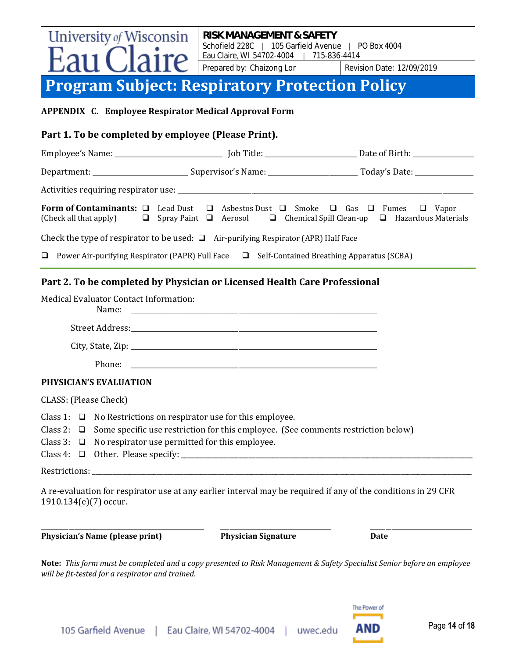#### **University of Wisconsin RISK MANAGEMENT & SAFETY** Schofield 228C | 105 Garfield Avenue | PO Box 4004 Eau Claire, WI 54702-4004 | 715-836-4414 Prepared by: Chaizong Lor Revision Date: 12/09/2019 **Program Subject: Respiratory Protection Policy**

#### **APPENDIX C. Employee Respirator Medical Approval Form**

#### **Part 1. To be completed by employee (Please Print).**

|                                                                                          |                                                                                                           | <b>Form of Contaminants:</b> $\Box$ Lead Dust $\Box$ Asbestos Dust $\Box$ Smoke $\Box$ Gas $\Box$ Fumes $\Box$ Vapor<br>(Check all that apply) $\Box$ Spray Paint $\Box$ Aerosol $\Box$ Chemical Spill Clean-up $\Box$ Hazardous Materials |  |  |  |  |
|------------------------------------------------------------------------------------------|-----------------------------------------------------------------------------------------------------------|--------------------------------------------------------------------------------------------------------------------------------------------------------------------------------------------------------------------------------------------|--|--|--|--|
| Check the type of respirator to be used: $\Box$ Air-purifying Respirator (APR) Half Face |                                                                                                           |                                                                                                                                                                                                                                            |  |  |  |  |
|                                                                                          | <b>D</b> Power Air-purifying Respirator (PAPR) Full Face $\Box$ Self-Contained Breathing Apparatus (SCBA) |                                                                                                                                                                                                                                            |  |  |  |  |

#### **Part 2. To be completed by Physician or Licensed Health Care Professional**

|                         | <b>Medical Evaluator Contact Information:</b><br>Name:                                                                                                                                                                                      |                            |                                                                                                                         |  |
|-------------------------|---------------------------------------------------------------------------------------------------------------------------------------------------------------------------------------------------------------------------------------------|----------------------------|-------------------------------------------------------------------------------------------------------------------------|--|
|                         |                                                                                                                                                                                                                                             |                            |                                                                                                                         |  |
|                         |                                                                                                                                                                                                                                             |                            |                                                                                                                         |  |
|                         |                                                                                                                                                                                                                                             |                            |                                                                                                                         |  |
|                         | <b>PHYSICIAN'S EVALUATION</b>                                                                                                                                                                                                               |                            |                                                                                                                         |  |
| CLASS: (Please Check)   |                                                                                                                                                                                                                                             |                            |                                                                                                                         |  |
|                         | Class 1: $\Box$ No Restrictions on respirator use for this employee.<br>Class 2: $\Box$ Some specific use restriction for this employee. (See comments restriction below)<br>Class 3: $\Box$ No respirator use permitted for this employee. |                            |                                                                                                                         |  |
|                         |                                                                                                                                                                                                                                             |                            |                                                                                                                         |  |
| $1910.134(e)(7)$ occur. |                                                                                                                                                                                                                                             |                            | A re-evaluation for respirator use at any earlier interval may be required if any of the conditions in 29 CFR           |  |
|                         | Physician's Name (please print)                                                                                                                                                                                                             | <b>Physician Signature</b> | <b>Date</b>                                                                                                             |  |
|                         | will be fit-tested for a respirator and trained.                                                                                                                                                                                            |                            | Note: This form must be completed and a copy presented to Risk Management & Safety Specialist Senior before an employee |  |

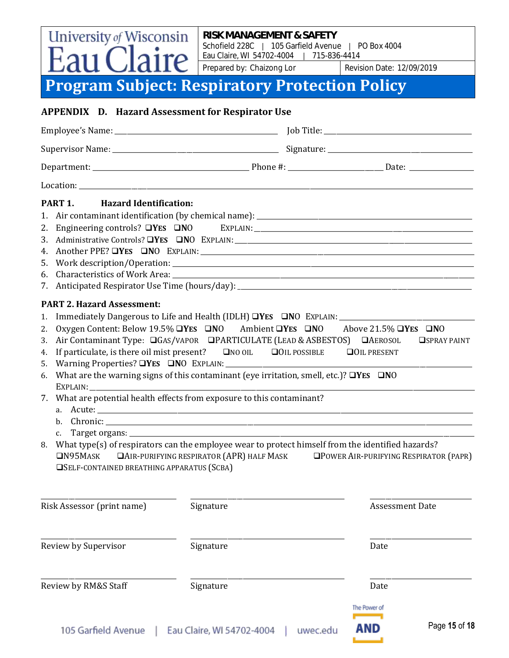Schofield 228C | 105 Garfield Avenue | PO Box 4004 Eau Claire, WI 54702-4004 | 715-836-4414

Prepared by: Chaizong Lor Revision Date: 12/09/2019

### **Program Subject: Respiratory Protection Policy**

**University of Wisconsin** 

### **APPENDIX D. Hazard Assessment for Respirator Use** Employee's Name: \_\_\_\_\_\_\_\_\_\_\_\_\_\_\_\_\_\_\_\_\_\_\_\_\_\_\_\_\_\_\_\_\_\_\_\_\_\_\_\_\_\_\_\_\_\_\_\_\_\_\_\_\_ Job Title: \_\_\_\_\_\_\_\_\_\_\_\_\_\_\_\_\_\_\_\_\_\_\_\_\_\_\_\_\_\_\_\_\_\_\_\_\_\_\_\_\_\_\_\_\_\_\_\_ Supervisor Name: \_\_\_\_\_\_\_\_\_\_\_\_\_\_\_\_\_\_\_\_\_\_\_\_\_\_\_\_\_\_\_\_\_\_\_\_\_\_\_\_\_\_\_\_\_\_\_\_\_\_\_\_\_\_ Signature: \_\_\_\_\_\_\_\_\_\_\_\_\_\_\_\_\_\_\_\_\_\_\_\_\_\_\_\_\_\_\_\_\_\_\_\_\_\_\_\_\_\_\_\_\_\_\_ Department: \_\_\_\_\_\_\_\_\_\_\_\_\_\_\_\_\_\_\_\_\_\_\_\_\_\_\_\_\_\_\_\_\_\_\_\_\_\_\_\_\_\_\_\_\_\_\_\_\_\_\_ Phone #: \_\_\_\_\_\_\_\_\_\_\_\_\_\_\_\_\_\_\_\_\_\_\_\_\_\_\_\_\_\_\_ Date: \_\_\_\_\_\_\_\_\_\_\_\_\_\_\_\_\_\_\_\_\_ Location: \_\_\_\_\_\_\_\_\_\_\_\_\_\_\_\_\_\_\_\_\_\_\_\_\_\_\_\_\_\_\_\_\_\_\_\_\_\_\_\_\_\_\_\_\_\_\_\_\_\_\_\_\_\_\_\_\_\_\_\_\_\_\_\_\_\_\_\_\_\_\_\_\_\_\_\_\_\_\_\_\_\_\_\_\_\_\_\_\_\_\_\_\_\_\_\_\_\_\_\_\_\_\_\_\_\_\_\_\_\_\_\_\_\_\_\_\_\_\_\_\_\_\_\_\_\_\_\_ **PART 1. Hazard Identification:** 1. Air contaminant identification (by chemical name): \_\_\_\_\_\_\_\_\_\_\_\_\_\_\_\_\_\_\_\_\_\_\_\_\_\_\_\_\_\_\_\_\_\_\_\_\_\_\_\_\_\_\_\_\_\_\_\_\_\_\_\_\_\_\_\_\_\_\_\_\_\_\_\_\_\_\_\_\_\_ 2. Engineering controls? ❑**YES** ❑**N**O EXPLAIN:\_\_\_\_\_\_\_\_\_\_\_\_\_\_\_\_\_\_\_\_\_\_\_\_\_\_\_\_\_\_\_\_\_\_\_\_\_\_\_\_\_\_\_\_\_\_\_\_\_\_\_\_\_\_\_\_\_\_\_\_\_\_\_\_\_\_\_\_\_\_\_ 3. Administrative Controls? ❑**YES** ❑**N**O EXPLAIN:\_\_\_\_\_\_\_\_\_\_\_\_\_\_\_\_\_\_\_\_\_\_\_\_\_\_\_\_\_\_\_\_\_\_\_\_\_\_\_\_\_\_\_\_\_\_\_\_\_\_\_\_\_\_\_\_\_\_\_\_\_\_\_\_\_\_\_\_\_\_\_\_\_\_\_\_\_ 4. Another PPE? ❑**YES** ❑**N**O EXPLAIN:\_\_\_\_\_\_\_\_\_\_\_\_\_\_\_\_\_\_\_\_\_\_\_\_\_\_\_\_\_\_\_\_\_\_\_\_\_\_\_\_\_\_\_\_\_\_\_\_\_\_\_\_\_\_\_\_\_\_\_\_\_\_\_\_\_\_\_\_\_\_\_\_\_\_\_\_\_\_\_\_\_\_\_\_\_\_\_\_\_ 5. Work description/Operation: \_\_\_\_\_\_\_\_\_\_\_\_\_\_\_\_\_\_\_\_\_\_\_\_\_\_\_\_\_\_\_\_\_\_\_\_\_\_\_\_\_\_\_\_\_\_\_\_\_\_\_\_\_\_\_\_\_\_\_\_\_\_\_\_\_\_\_\_\_\_\_\_\_\_\_\_\_\_\_\_\_\_\_\_\_\_\_\_\_\_\_\_\_\_\_\_\_\_ 6. Characteristics of Work Area: \_\_\_\_\_\_\_\_\_\_\_\_\_\_\_\_\_\_\_\_\_\_\_\_\_\_\_\_\_\_\_\_\_\_\_\_\_\_\_\_\_\_\_\_\_\_\_\_\_\_\_\_\_\_\_\_\_\_\_\_\_\_\_\_\_\_\_\_\_\_\_\_\_\_\_\_\_\_\_\_\_\_\_\_\_\_\_\_\_\_\_\_\_\_\_\_\_\_ 7. Anticipated Respirator Use Time (hours/day): \_\_\_\_\_\_\_\_\_\_\_\_\_\_\_\_\_\_\_\_\_\_\_\_\_\_\_\_\_\_\_\_ **PART 2. Hazard Assessment:** 1. Immediately Dangerous to Life and Health (IDLH) ❑**YES** ❑**N**O EXPLAIN:\_\_\_\_\_\_\_\_\_\_\_\_\_\_\_\_\_\_\_\_\_\_\_\_\_\_\_\_\_\_\_\_\_\_\_\_\_\_\_\_\_\_\_\_ 2. Oxygen Content: Below 19.5%❑**YES** ❑**N**O Ambient ❑**YES** ❑**N**O Above 21.5% ❑**YES** ❑**N**O 3. Air Contaminant Type: ❑GAS/VAPOR❑PARTICULATE (LEAD & ASBESTOS) ❑AEROSOL ❑SPRAY PAINT 4. If particulate, is there oil mist present? ❑NO OIL❑OIL POSSIBLE ❑OIL PRESENT 5. Warning Properties? **⊒YES** ■NO EXPLAIN: 6. What are the warning signs of this contaminant (eye irritation, smell, etc.)? ❑**YES** ❑**N**O EXPLAIN:\_\_\_\_\_\_\_\_\_\_\_\_\_\_\_\_\_\_\_\_\_\_\_\_\_\_\_\_\_\_\_\_\_\_\_\_\_\_\_\_\_\_\_\_\_\_\_\_\_\_\_\_\_\_\_\_\_\_\_\_\_\_\_\_\_\_\_\_\_\_\_\_\_\_\_\_\_\_\_\_\_\_\_\_\_\_\_\_\_\_\_\_\_\_\_\_\_\_\_\_\_\_\_\_\_\_\_\_\_\_\_\_\_\_\_\_\_\_\_\_\_\_\_\_\_ 7. What are potential health effects from exposure to this contaminant? a. Acute: \_\_\_\_\_\_\_\_\_\_\_\_\_\_\_\_\_\_\_\_\_\_\_\_\_\_\_\_\_\_\_\_\_\_\_\_\_\_\_\_\_\_\_\_\_\_\_\_\_\_\_\_\_\_\_\_\_\_\_\_\_\_\_\_\_\_\_\_\_\_\_\_\_\_\_\_\_\_\_\_\_\_\_\_\_\_\_\_\_\_\_\_\_\_\_\_\_\_\_\_\_\_\_\_\_\_\_\_\_\_\_\_\_\_\_\_\_\_\_\_\_\_ b. Chronic: \_\_\_\_\_\_\_\_\_\_\_\_\_\_\_\_\_\_\_\_\_\_\_\_\_\_\_\_\_\_\_\_\_\_\_\_\_\_\_\_\_\_\_\_\_\_\_\_\_\_\_\_\_\_\_\_\_\_\_\_\_\_\_\_\_\_\_\_\_\_\_\_\_\_\_\_\_\_\_\_\_\_\_\_\_\_\_\_\_\_\_\_\_\_\_\_\_\_\_\_\_\_\_\_\_\_\_\_\_\_\_\_\_\_\_\_\_\_\_ c. Target organs: \_\_\_\_\_\_\_\_\_\_\_\_\_\_\_\_\_\_\_\_\_\_\_\_\_\_\_\_\_\_\_\_\_\_\_\_\_\_\_\_\_\_\_\_\_\_\_\_\_\_\_\_\_\_\_\_\_\_\_\_\_\_\_\_\_\_\_\_\_\_\_\_\_\_\_\_\_\_\_\_\_\_\_\_\_\_\_\_\_\_\_\_\_\_\_\_\_\_\_\_\_\_\_\_\_\_\_\_\_\_\_\_ 8. What type(s) of respirators can the employee wear to protect himself from the identified hazards? ❑N95MASK ❑AIR-PURIFYING RESPIRATOR (APR) HALF MASK❑POWER AIR-PURIFYING RESPIRATOR (PAPR) ❑SELF-CONTAINED BREATHING APPARATUS (SCBA) \_\_\_\_\_\_\_\_\_\_\_\_\_\_\_\_\_\_\_\_\_\_\_\_\_\_\_\_\_\_\_\_\_\_\_\_\_\_\_\_\_\_\_\_ \_\_\_\_\_\_\_\_\_\_\_\_\_\_\_\_\_\_\_\_\_\_\_\_\_\_\_\_\_\_\_\_\_\_\_\_\_\_\_\_\_\_\_\_\_\_\_\_\_\_ \_\_\_\_\_\_\_\_\_\_\_\_\_\_\_\_\_\_\_\_\_\_\_\_\_\_\_\_\_\_\_\_\_ Risk Assessor (print name) Signature Assessment Date Assessment Date \_\_\_\_\_\_\_\_\_\_\_\_\_\_\_\_\_\_\_\_\_\_\_\_\_\_\_\_\_\_\_\_\_\_\_\_\_\_\_\_\_\_\_\_ \_\_\_\_\_\_\_\_\_\_\_\_\_\_\_\_\_\_\_\_\_\_\_\_\_\_\_\_\_\_\_\_\_\_\_\_\_\_\_\_\_\_\_\_\_\_\_\_\_\_ \_\_\_\_\_\_\_\_\_\_\_\_\_\_\_\_\_\_\_\_\_\_\_\_\_\_\_\_\_\_\_\_\_ Review by Supervisor **Signature** Signature **Date** Date \_\_\_\_\_\_\_\_\_\_\_\_\_\_\_\_\_\_\_\_\_\_\_\_\_\_\_\_\_\_\_\_\_\_\_\_\_\_\_\_\_\_\_\_ \_\_\_\_\_\_\_\_\_\_\_\_\_\_\_\_\_\_\_\_\_\_\_\_\_\_\_\_\_\_\_\_\_\_\_\_\_\_\_\_\_\_\_\_\_\_\_\_\_\_ \_\_\_\_\_\_\_\_\_\_\_\_\_\_\_\_\_\_\_\_\_\_\_\_\_\_\_\_\_\_\_\_\_ Review by RM&S Staff Signature Signature Date Date The Power of

AND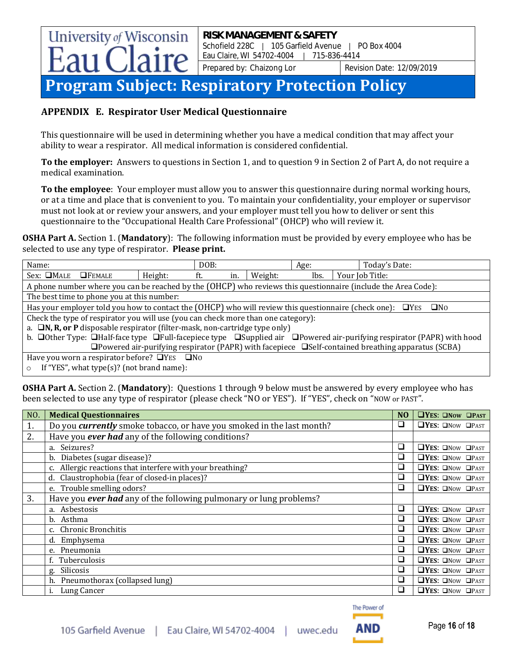## **Program Subject: Respiratory Protection Policy**

#### **APPENDIX E. Respirator User Medical Questionnaire**

This questionnaire will be used in determining whether you have a medical condition that may affect your ability to wear a respirator. All medical information is considered confidential.

**To the employer:** Answers to questions in Section 1, and to question 9 in Section 2 of Part A, do not require a medical examination.

**To the employee**: Your employer must allow you to answer this questionnaire during normal working hours, or at a time and place that is convenient to you. To maintain your confidentiality, your employer or supervisor must not look at or review your answers, and your employer must tell you how to deliver or sent this questionnaire to the "Occupational Health Care Professional" (OHCP) who will review it.

**OSHA Part A.** Section 1. (**Mandatory**): The following information must be provided by every employee who has be selected to use any type of respirator. **Please print.**

| Name:                                                                                                          |                                                                                                                                                     |         | DOB: |     |         | Age: | Today's Date:                                                                                                             |
|----------------------------------------------------------------------------------------------------------------|-----------------------------------------------------------------------------------------------------------------------------------------------------|---------|------|-----|---------|------|---------------------------------------------------------------------------------------------------------------------------|
| $Sex: \square MALE \square FEMALE$                                                                             |                                                                                                                                                     | Height: | ft.  | in. | Weight: | lbs. | Your Job Title:                                                                                                           |
|                                                                                                                |                                                                                                                                                     |         |      |     |         |      | A phone number where you can be reached by the (OHCP) who reviews this questionnaire (include the Area Code):             |
|                                                                                                                | The best time to phone you at this number:                                                                                                          |         |      |     |         |      |                                                                                                                           |
|                                                                                                                |                                                                                                                                                     |         |      |     |         |      | Has your employer told you how to contact the (OHCP) who will review this questionnaire (check one): $\Box$ YES $\Box$ No |
|                                                                                                                | Check the type of respirator you will use (you can check more than one category):                                                                   |         |      |     |         |      |                                                                                                                           |
|                                                                                                                | a. $\Box N$ , R, or P disposable respirator (filter-mask, non-cartridge type only)                                                                  |         |      |     |         |      |                                                                                                                           |
|                                                                                                                | b. $\Box$ Other Type: $\Box$ Half-face type $\Box$ Full-facepiece type $\Box$ Supplied air $\Box$ Powered air-purifying respirator (PAPR) with hood |         |      |     |         |      |                                                                                                                           |
| $\Box$ Powered air-purifying respirator (PAPR) with facepiece $\Box$ Self-contained breathing apparatus (SCBA) |                                                                                                                                                     |         |      |     |         |      |                                                                                                                           |
| Have you worn a respirator before? $\Box$ YES $\Box$ NO                                                        |                                                                                                                                                     |         |      |     |         |      |                                                                                                                           |
|                                                                                                                | If "YES", what type $(s)$ ? (not brand name):                                                                                                       |         |      |     |         |      |                                                                                                                           |

**OSHA Part A.** Section 2. (**Mandatory**): Questions 1 through 9 below must be answered by every employee who has been selected to use any type of respirator (please check "NO or YES"). If "YES", check on "NOW or PAST".

| NO. | <b>Medical Questionnaires</b>                                                | N <sub>O</sub> | <b>OYES: ONOW OPAST</b>            |
|-----|------------------------------------------------------------------------------|----------------|------------------------------------|
| 1.  | Do you <i>currently</i> smoke tobacco, or have you smoked in the last month? | ❏              | $\Box YES: \Box Now \Box PAST$     |
| 2.  | Have you ever had any of the following conditions?                           |                |                                    |
|     | a. Seizures?                                                                 | □              | $\Box YES: \Box Now \Box PAST$     |
|     | b. Diabetes (sugar disease)?                                                 | ❏              | $\Box YES: \Box Now \Box PAST$     |
|     | c. Allergic reactions that interfere with your breathing?                    | □              | $\Box YES: \Box Now \Box PAST$     |
|     | d. Claustrophobia (fear of closed-in places)?                                | ❏              | $\Box YES: \Box Now \Box PAST$     |
|     | e. Trouble smelling odors?                                                   | ❏              | $\Box YES: \Box Now \Box PAST$     |
| 3.  | Have you ever had any of the following pulmonary or lung problems?           |                |                                    |
|     | a. Asbestosis                                                                | $\Box$         | $\Box$ YES: $\Box$ Now $\Box$ PAST |
|     | b. Asthma                                                                    | ❏              | $\Box$ YES: $\Box$ Now $\Box$ PAST |
|     | c. Chronic Bronchitis                                                        | $\Box$         | $\Box$ YES: $\Box$ Now $\Box$ PAST |
|     | d. Emphysema                                                                 | ❏              | $\Box$ YES: $\Box$ Now $\Box$ PAST |
|     | e. Pneumonia                                                                 | $\Box$         | $\Box$ YES: $\Box$ Now $\Box$ PAST |
|     | f. Tuberculosis                                                              | $\Box$         | $\Box$ YES: $\Box$ Now $\Box$ PAST |
|     | g. Silicosis                                                                 | ❏              | $\Box YES: \Box Now \Box PAST$     |
|     | h. Pneumothorax (collapsed lung)                                             | ❏              | $\Box YES: \Box Now \Box PAST$     |
|     | Lung Cancer                                                                  | ❏              | $\Box$ YES: $\Box$ Now $\Box$ PAST |

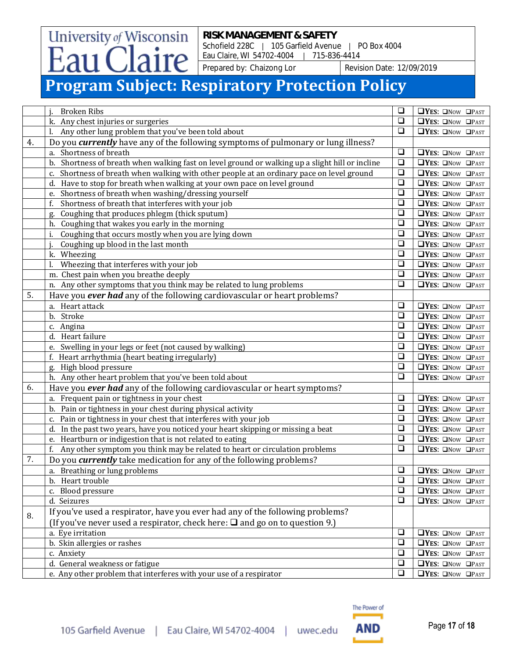Schofield 228C | 105 Garfield Avenue | PO Box 4004 Eau Claire, WI 54702-4004 | 715-836-4414

Prepared by: Chaizong Lor Revision Date: 12/09/2019

## **Program Subject: Respiratory Protection Policy**

University of Wisconsin

aire

|    | <b>Broken Ribs</b>                                                                              | $\Box$    | $\Box YES: \Box Now \Box PAST$      |
|----|-------------------------------------------------------------------------------------------------|-----------|-------------------------------------|
|    | k. Any chest injuries or surgeries                                                              | $\Box$    | <b>OYES: ONOW OPAST</b>             |
|    | l. Any other lung problem that you've been told about                                           | $\Box$    | $\Box$ YES: $\Box$ Now $\Box$ PAST  |
| 4. | Do you <i>currently</i> have any of the following symptoms of pulmonary or lung illness?        |           |                                     |
|    | a. Shortness of breath                                                                          | $\Box$    | $\Box YES: \Box Now \Box PAST$      |
|    | b. Shortness of breath when walking fast on level ground or walking up a slight hill or incline | $\Box$    | $\Box YES: \Box Now \Box PAST$      |
|    | c. Shortness of breath when walking with other people at an ordinary pace on level ground       | $\Box$    | $\Box YES: \Box Now \Box PAST$      |
|    | d. Have to stop for breath when walking at your own pace on level ground                        | $\Box$    | $\Box YES: \Box Now \Box PAST$      |
|    | e. Shortness of breath when washing/dressing yourself                                           | $\Box$    | <b>OYES: ONOW OPAST</b>             |
|    | Shortness of breath that interferes with your job<br>f.                                         | $\Box$    | $\Box$ YES: $\Box$ Now $\Box$ PAST  |
|    | Coughing that produces phlegm (thick sputum)<br>g.                                              | $\Box$    | $\Box YES: \Box Now \Box PAST$      |
|    | h. Coughing that wakes you early in the morning                                                 | $\Box$    | $\Box YES: \Box Now \Box PAST$      |
|    | Coughing that occurs mostly when you are lying down<br>i.                                       | $\Box$    | $\Box YES: \Box Now \Box PAST$      |
|    | Coughing up blood in the last month                                                             | $\Box$    | $\Box YES: \Box Now \Box PAST$      |
|    | k. Wheezing                                                                                     | $\Box$    | $\Box$ YES: $\Box$ Now $\Box$ PAST  |
|    | Wheezing that interferes with your job                                                          | $\Box$    | $\Box$ YES: $\Box$ Now $\Box$ PAST  |
|    | m. Chest pain when you breathe deeply                                                           | $\Box$    | $\Box YES: \Box Now \Box PAST$      |
|    | n. Any other symptoms that you think may be related to lung problems                            | $\square$ | $\Box YES: \Box Now \Box PAST$      |
| 5. | Have you ever had any of the following cardiovascular or heart problems?                        |           |                                     |
|    | a. Heart attack                                                                                 | $\Box$    | <b>OYES: ONOW OPAST</b>             |
|    | b. Stroke                                                                                       | $\Box$    | $\Box$ YES: $\Box$ Now $\Box$ PAST  |
|    | c. Angina                                                                                       | $\Box$    | <b>OYES: ONOW OPAST</b>             |
|    | d. Heart failure                                                                                | $\Box$    | $\Box YES: \Box Now \Box PAST$      |
|    | e. Swelling in your legs or feet (not caused by walking)                                        | $\Box$    | $\Box YES: \Box Now \Box PAST$      |
|    | f. Heart arrhythmia (heart beating irregularly)                                                 | $\Box$    | $\Box YES: \Box Now \Box PAST$      |
|    | g. High blood pressure                                                                          | $\Box$    | $\Box$ YES: $\Box$ Now $\Box$ PAST  |
|    | h. Any other heart problem that you've been told about                                          | $\Box$    | <b>OYES: ONOW OPAST</b>             |
| 6. |                                                                                                 |           |                                     |
|    | Have you ever had any of the following cardiovascular or heart symptoms?                        | $\Box$    |                                     |
|    | a. Frequent pain or tightness in your chest                                                     | $\Box$    | $\Box$ YES: $\Box$ Now $\Box$ PAST  |
|    | b. Pain or tightness in your chest during physical activity                                     | $\Box$    | $\Box$ YES: $\Box$ Now $\Box$ PAST  |
|    | c. Pain or tightness in your chest that interferes with your job                                |           | $\Box$ YES: $\Box$ Now $\Box$ PAST  |
|    | d. In the past two years, have you noticed your heart skipping or missing a beat                | $\Box$    | $\Box YES: \Box Now \Box PAST$      |
|    | e. Heartburn or indigestion that is not related to eating                                       | $\Box$    | $\Box YES: \Box Now \Box PAST$      |
|    | f. Any other symptom you think may be related to heart or circulation problems                  | $\Box$    | $\Box YES: \Box Now \Box PAST$      |
| 7. | Do you <i>currently</i> take medication for any of the following problems?                      |           |                                     |
|    | a. Breathing or lung problems                                                                   | $\Box$    | $\Box$ YES: $\Box$ Now $\Box$ PAST  |
|    | b. Heart trouble                                                                                | $\Box$    | $\Box YES: \Box Now \Box PAST$      |
|    | c. Blood pressure                                                                               | $\Box$    | <b>OYES: ONOW OPAST</b>             |
|    | d. Seizures                                                                                     | $\Box$    | $\Box$ YES: $\Box$ Now $\Box$ PAST  |
| 8. | If you've used a respirator, have you ever had any of the following problems?                   |           |                                     |
|    | (If you've never used a respirator, check here: $\square$ and go on to question 9.)             |           |                                     |
|    | a. Eye irritation                                                                               | $\Box$    | $\Box YES: \Box Now \Box PAST$      |
|    | b. Skin allergies or rashes                                                                     | $\Box$    | $\Box Y$ ES: $\Box$ Now $\Box$ PAST |
|    | c. Anxiety                                                                                      | $\Box$    | $\Box YES: \Box Now \Box PAST$      |
|    | d. General weakness or fatigue                                                                  | $\Box$    | $\Box YES: \Box Now \Box PAST$      |
|    | e. Any other problem that interferes with your use of a respirator                              | $\Box$    | $\Box YES: \Box Now \Box PAST$      |